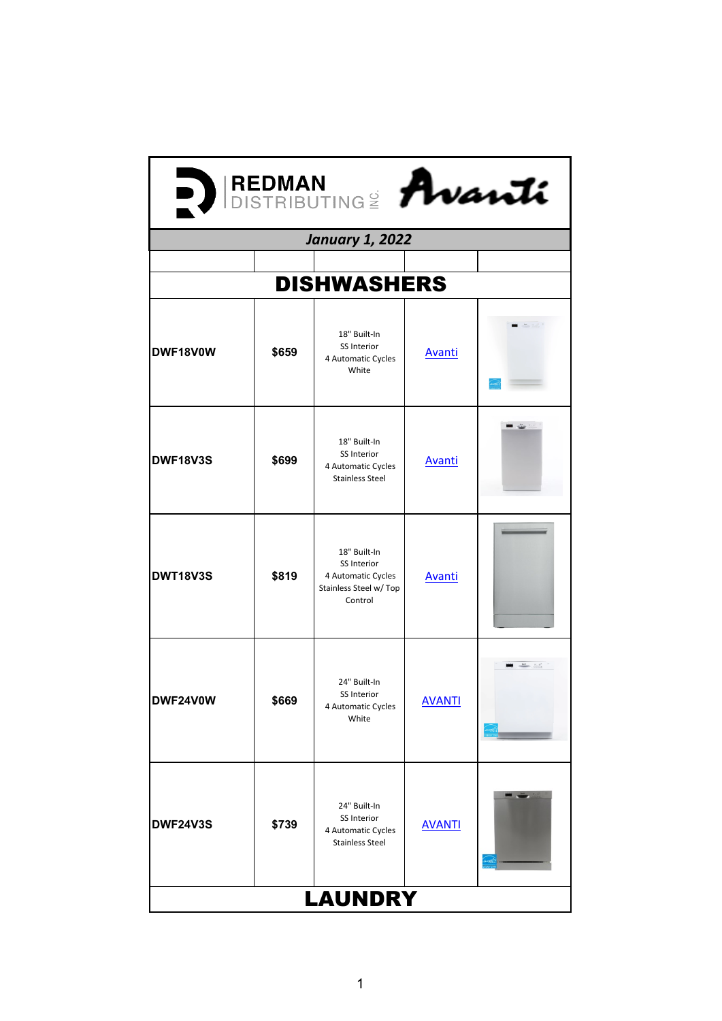| DISTRIBUTING <sup>2</sup> Avanti |       |                                                                                        |               |      |  |  |  |  |
|----------------------------------|-------|----------------------------------------------------------------------------------------|---------------|------|--|--|--|--|
| <b>January 1, 2022</b>           |       |                                                                                        |               |      |  |  |  |  |
|                                  |       |                                                                                        |               |      |  |  |  |  |
| <b>DISHWASHERS</b>               |       |                                                                                        |               |      |  |  |  |  |
| DWF18V0W                         | \$659 | 18" Built-In<br>SS Interior<br>4 Automatic Cycles<br>White                             | <b>Avanti</b> |      |  |  |  |  |
| <b>DWF18V3S</b>                  | \$699 | 18" Built-In<br>SS Interior<br>4 Automatic Cycles<br><b>Stainless Steel</b>            | <b>Avanti</b> | - 4  |  |  |  |  |
| <b>DWT18V3S</b>                  | \$819 | 18" Built-In<br>SS Interior<br>4 Automatic Cycles<br>Stainless Steel w/ Top<br>Control | <b>Avanti</b> |      |  |  |  |  |
| DWF24V0W                         | \$669 | 24" Built-In<br>SS Interior<br>4 Automatic Cycles<br>White                             | <b>AVANTI</b> | $-1$ |  |  |  |  |
| <b>DWF24V3S</b>                  | \$739 | 24" Built-In<br>SS Interior<br>4 Automatic Cycles<br><b>Stainless Steel</b>            | <b>AVANTI</b> |      |  |  |  |  |
| <b>LAUNDRY</b>                   |       |                                                                                        |               |      |  |  |  |  |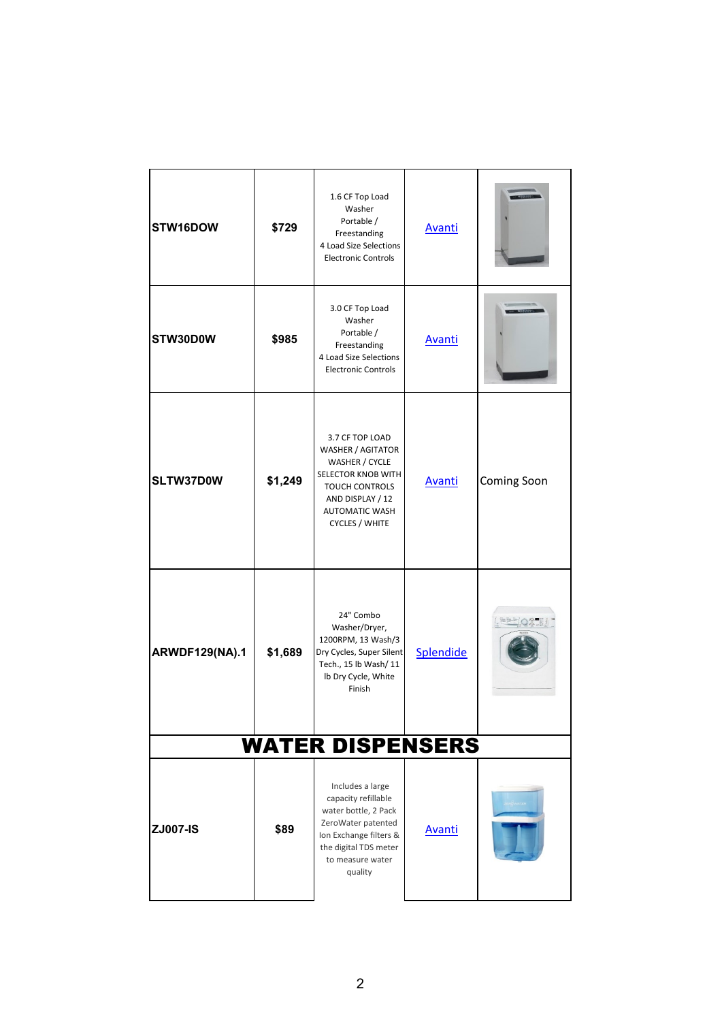| STW16DOW                | \$729   | 1.6 CF Top Load<br>Washer<br>Portable /<br>Freestanding<br>4 Load Size Selections<br><b>Electronic Controls</b>                                                         | <b>Avanti</b> |             |  |  |  |
|-------------------------|---------|-------------------------------------------------------------------------------------------------------------------------------------------------------------------------|---------------|-------------|--|--|--|
| STW30D0W                | \$985   | 3.0 CF Top Load<br>Washer<br>Portable /<br>Freestanding<br>4 Load Size Selections<br><b>Electronic Controls</b>                                                         | <b>Avanti</b> |             |  |  |  |
| SLTW37D0W               | \$1,249 | 3.7 CF TOP LOAD<br>WASHER / AGITATOR<br>WASHER / CYCLE<br>SELECTOR KNOB WITH<br><b>TOUCH CONTROLS</b><br>AND DISPLAY / 12<br>AUTOMATIC WASH<br><b>CYCLES / WHITE</b>    | <b>Avanti</b> | Coming Soon |  |  |  |
| <b>ARWDF129(NA).1</b>   | \$1,689 | 24" Combo<br>Washer/Dryer,<br>1200RPM, 13 Wash/3<br>Dry Cycles, Super Silent<br>Tech., 15 lb Wash/ 11<br>Ib Dry Cycle, White<br>Finish                                  | Splendide     | EEDOR BI    |  |  |  |
| <b>WATER DISPENSERS</b> |         |                                                                                                                                                                         |               |             |  |  |  |
| <b>ZJ007-IS</b>         | \$89    | Includes a large<br>capacity refillable<br>water bottle, 2 Pack<br>ZeroWater patented<br>Ion Exchange filters &<br>the digital TDS meter<br>to measure water<br>quality | <b>Avanti</b> |             |  |  |  |